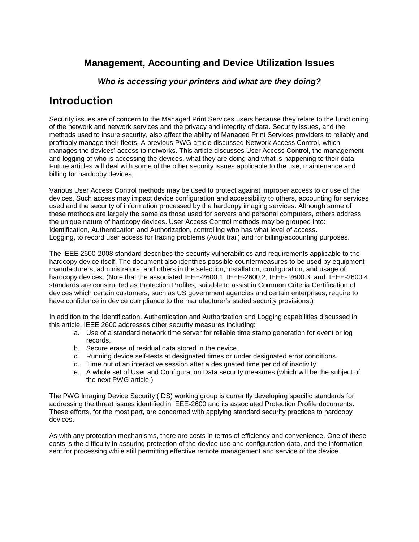### **Management, Accounting and Device Utilization Issues**

*Who is accessing your printers and what are they doing?*

### **Introduction**

Security issues are of concern to the Managed Print Services users because they relate to the functioning of the network and network services and the privacy and integrity of data. Security issues, and the methods used to insure security, also affect the ability of Managed Print Services providers to reliably and profitably manage their fleets. A previous PWG article discussed Network Access Control, which manages the devices' access to networks. This article discusses User Access Control, the management and logging of who is accessing the devices, what they are doing and what is happening to their data. Future articles will deal with some of the other security issues applicable to the use, maintenance and billing for hardcopy devices,

Various User Access Control methods may be used to protect against improper access to or use of the devices. Such access may impact device configuration and accessibility to others, accounting for services used and the security of information processed by the hardcopy imaging services. Although some of these methods are largely the same as those used for servers and personal computers, others address the unique nature of hardcopy devices. User Access Control methods may be grouped into: Identification, Authentication and Authorization, controlling who has what level of access. Logging, to record user access for tracing problems (Audit trail) and for billing/accounting purposes.

The IEEE 2600-2008 standard describes the security vulnerabilities and requirements applicable to the hardcopy device itself. The document also identifies possible countermeasures to be used by equipment manufacturers, administrators, and others in the selection, installation, configuration, and usage of hardcopy devices. (Note that the associated IEEE-2600.1, IEEE-2600.2, IEEE-2600.3, and IEEE-2600.4 standards are constructed as Protection Profiles, suitable to assist in Common Criteria Certification of devices which certain customers, such as US government agencies and certain enterprises, require to have confidence in device compliance to the manufacturer's stated security provisions.)

In addition to the Identification, Authentication and Authorization and Logging capabilities discussed in this article, IEEE 2600 addresses other security measures including:

- a. Use of a standard network time server for reliable time stamp generation for event or log records.
- b. Secure erase of residual data stored in the device.
- c. Running device self-tests at designated times or under designated error conditions.
- d. Time out of an interactive session after a designated time period of inactivity.
- e. A whole set of User and Configuration Data security measures (which will be the subject of the next PWG article.)

The PWG Imaging Device Security (IDS) working group is currently developing specific standards for addressing the threat issues identified in IEEE-2600 and its associated Protection Profile documents. These efforts, for the most part, are concerned with applying standard security practices to hardcopy devices.

As with any protection mechanisms, there are costs in terms of efficiency and convenience. One of these costs is the difficulty in assuring protection of the device use and configuration data, and the information sent for processing while still permitting effective remote management and service of the device.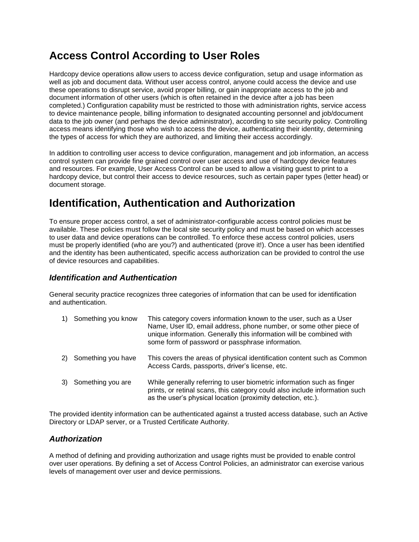## **Access Control According to User Roles**

Hardcopy device operations allow users to access device configuration, setup and usage information as well as job and document data. Without user access control, anyone could access the device and use these operations to disrupt service, avoid proper billing, or gain inappropriate access to the job and document information of other users (which is often retained in the device after a job has been completed.) Configuration capability must be restricted to those with administration rights, service access to device maintenance people, billing information to designated accounting personnel and job/document data to the job owner (and perhaps the device administrator), according to site security policy. Controlling access means identifying those who wish to access the device, authenticating their identity, determining the types of access for which they are authorized, and limiting their access accordingly.

In addition to controlling user access to device configuration, management and job information, an access control system can provide fine grained control over user access and use of hardcopy device features and resources. For example, User Access Control can be used to allow a visiting guest to print to a hardcopy device, but control their access to device resources, such as certain paper types (letter head) or document storage.

# **Identification, Authentication and Authorization**

To ensure proper access control, a set of administrator-configurable access control policies must be available. These policies must follow the local site security policy and must be based on which accesses to user data and device operations can be controlled. To enforce these access control policies, users must be properly identified (who are you?) and authenticated (prove it!). Once a user has been identified and the identity has been authenticated, specific access authorization can be provided to control the use of device resources and capabilities.

### *Identification and Authentication*

General security practice recognizes three categories of information that can be used for identification and authentication.

| $\left( \begin{matrix} 1 \end{matrix} \right)$ | Something you know | This category covers information known to the user, such as a User<br>Name, User ID, email address, phone number, or some other piece of<br>unique information. Generally this information will be combined with<br>some form of password or passphrase information. |
|------------------------------------------------|--------------------|----------------------------------------------------------------------------------------------------------------------------------------------------------------------------------------------------------------------------------------------------------------------|
| (2)                                            | Something you have | This covers the areas of physical identification content such as Common<br>Access Cards, passports, driver's license, etc.                                                                                                                                           |
| 3)                                             | Something you are  | While generally referring to user biometric information such as finger<br>prints, or retinal scans, this category could also include information such<br>as the user's physical location (proximity detection, etc.).                                                |

The provided identity information can be authenticated against a trusted access database, such an Active Directory or LDAP server, or a Trusted Certificate Authority.

### *Authorization*

A method of defining and providing authorization and usage rights must be provided to enable control over user operations. By defining a set of Access Control Policies, an administrator can exercise various levels of management over user and device permissions.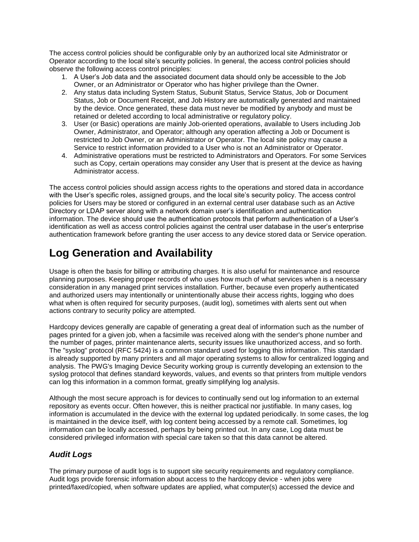The access control policies should be configurable only by an authorized local site Administrator or Operator according to the local site's security policies. In general, the access control policies should observe the following access control principles:

- 1. A User's Job data and the associated document data should only be accessible to the Job Owner, or an Administrator or Operator who has higher privilege than the Owner.
- 2. Any status data including System Status, Subunit Status, Service Status, Job or Document Status, Job or Document Receipt, and Job History are automatically generated and maintained by the device. Once generated, these data must never be modified by anybody and must be retained or deleted according to local administrative or regulatory policy.
- 3. User (or Basic) operations are mainly Job-oriented operations, available to Users including Job Owner, Administrator, and Operator; although any operation affecting a Job or Document is restricted to Job Owner, or an Administrator or Operator. The local site policy may cause a Service to restrict information provided to a User who is not an Administrator or Operator.
- 4. Administrative operations must be restricted to Administrators and Operators. For some Services such as Copy, certain operations may consider any User that is present at the device as having Administrator access.

The access control policies should assign access rights to the operations and stored data in accordance with the User's specific roles, assigned groups, and the local site's security policy. The access control policies for Users may be stored or configured in an external central user database such as an Active Directory or LDAP server along with a network domain user's identification and authentication information. The device should use the authentication protocols that perform authentication of a User's identification as well as access control policies against the central user database in the user's enterprise authentication framework before granting the user access to any device stored data or Service operation.

## **Log Generation and Availability**

Usage is often the basis for billing or attributing charges. It is also useful for maintenance and resource planning purposes. Keeping proper records of who uses how much of what services when is a necessary consideration in any managed print services installation. Further, because even properly authenticated and authorized users may intentionally or unintentionally abuse their access rights, logging who does what when is often required for security purposes, (audit log), sometimes with alerts sent out when actions contrary to security policy are attempted.

Hardcopy devices generally are capable of generating a great deal of information such as the number of pages printed for a given job, when a facsimile was received along with the sender's phone number and the number of pages, printer maintenance alerts, security issues like unauthorized access, and so forth. The "syslog" protocol (RFC 5424) is a common standard used for logging this information. This standard is already supported by many printers and all major operating systems to allow for centralized logging and analysis. The PWG's Imaging Device Security working group is currently developing an extension to the syslog protocol that defines standard keywords, values, and events so that printers from multiple vendors can log this information in a common format, greatly simplifying log analysis.

Although the most secure approach is for devices to continually send out log information to an external repository as events occur. Often however, this is neither practical nor justifiable. In many cases, log information is accumulated in the device with the external log updated periodically. In some cases, the log is maintained in the device itself, with log content being accessed by a remote call. Sometimes, log information can be locally accessed, perhaps by being printed out. In any case, Log data must be considered privileged information with special care taken so that this data cannot be altered.

### *Audit Logs*

The primary purpose of audit logs is to support site security requirements and regulatory compliance. Audit logs provide forensic information about access to the hardcopy device - when jobs were printed/faxed/copied, when software updates are applied, what computer(s) accessed the device and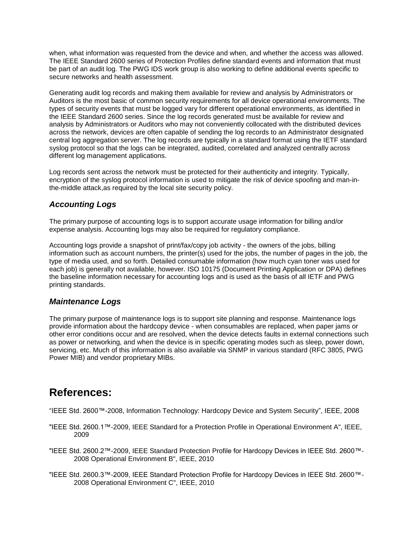when, what information was requested from the device and when, and whether the access was allowed. The IEEE Standard 2600 series of Protection Profiles define standard events and information that must be part of an audit log. The PWG IDS work group is also working to define additional events specific to secure networks and health assessment.

Generating audit log records and making them available for review and analysis by Administrators or Auditors is the most basic of common security requirements for all device operational environments. The types of security events that must be logged vary for different operational environments, as identified in the IEEE Standard 2600 series. Since the log records generated must be available for review and analysis by Administrators or Auditors who may not conveniently collocated with the distributed devices across the network, devices are often capable of sending the log records to an Administrator designated central log aggregation server. The log records are typically in a standard format using the IETF standard syslog protocol so that the logs can be integrated, audited, correlated and analyzed centrally across different log management applications.

Log records sent across the network must be protected for their authenticity and integrity. Typically, encryption of the syslog protocol information is used to mitigate the risk of device spoofing and man-inthe-middle attack,as required by the local site security policy.

### *Accounting Logs*

The primary purpose of accounting logs is to support accurate usage information for billing and/or expense analysis. Accounting logs may also be required for regulatory compliance.

Accounting logs provide a snapshot of print/fax/copy job activity - the owners of the jobs, billing information such as account numbers, the printer(s) used for the jobs, the number of pages in the job, the type of media used, and so forth. Detailed consumable information (how much cyan toner was used for each job) is generally not available, however. ISO 10175 (Document Printing Application or DPA) defines the baseline information necessary for accounting logs and is used as the basis of all IETF and PWG printing standards.

#### *Maintenance Logs*

The primary purpose of maintenance logs is to support site planning and response. Maintenance logs provide information about the hardcopy device - when consumables are replaced, when paper jams or other error conditions occur and are resolved, when the device detects faults in external connections such as power or networking, and when the device is in specific operating modes such as sleep, power down, servicing, etc. Much of this information is also available via SNMP in various standard (RFC 3805, PWG Power MIB) and vendor proprietary MIBs.

### **References:**

"IEEE Std. 2600™-2008, Information Technology: Hardcopy Device and System Security", IEEE, 2008

- "IEEE Std. 2600.1™-2009, IEEE Standard for a Protection Profile in Operational Environment A", IEEE, 2009
- "IEEE Std. 2600.2™-2009, IEEE Standard Protection Profile for Hardcopy Devices in IEEE Std. 2600™- 2008 Operational Environment B", IEEE, 2010
- "IEEE Std. 2600.3™-2009, IEEE Standard Protection Profile for Hardcopy Devices in IEEE Std. 2600™- 2008 Operational Environment C", IEEE, 2010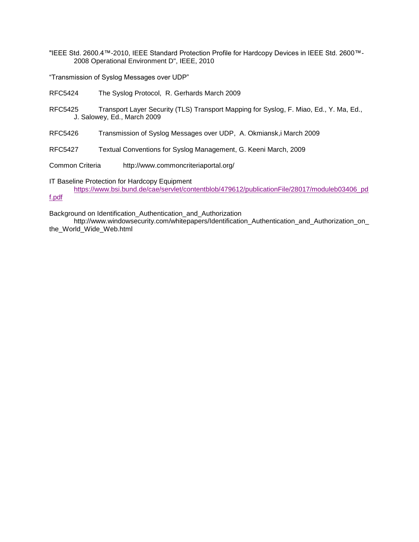"IEEE Std. 2600.4™-2010, IEEE Standard Protection Profile for Hardcopy Devices in IEEE Std. 2600™- 2008 Operational Environment D", IEEE, 2010

"Transmission of Syslog Messages over UDP"

- RFC5424 The Syslog Protocol, R. Gerhards March 2009
- RFC5425 Transport Layer Security (TLS) Transport Mapping for Syslog, F. Miao, Ed., Y. Ma, Ed., J. Salowey, Ed., March 2009
- RFC5426 Transmission of Syslog Messages over UDP, A. Okmiansk,i March 2009
- RFC5427 Textual Conventions for Syslog Management, G. Keeni March, 2009
- Common Criteria http://www.commoncriteriaportal.org/

IT Baseline Protection for Hardcopy Equipment

[https://www.bsi.bund.de/cae/servlet/contentblob/479612/publicationFile/28017/moduleb03406\\_pd](https://www.bsi.bund.de/cae/servlet/contentblob/479612/publicationFile/28017/moduleb03406_pdf.pdf) [f.pdf](https://www.bsi.bund.de/cae/servlet/contentblob/479612/publicationFile/28017/moduleb03406_pdf.pdf)

Background on Identification\_Authentication\_and\_Authorization

http://www.windowsecurity.com/whitepapers/Identification\_Authentication\_and\_Authorization\_on\_ the\_World\_Wide\_Web.html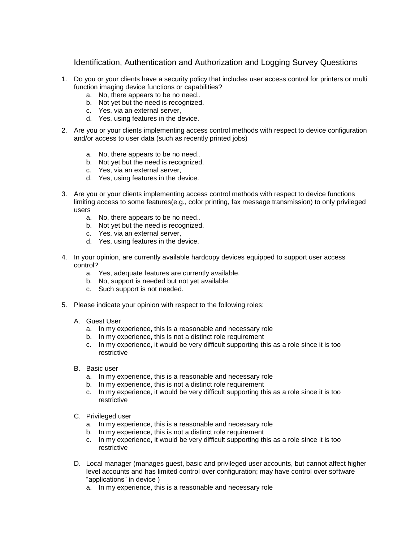#### Identification, Authentication and Authorization and Logging Survey Questions

- 1. Do you or your clients have a security policy that includes user access control for printers or multi function imaging device functions or capabilities?
	- a. No, there appears to be no need..
	- b. Not yet but the need is recognized.
	- c. Yes, via an external server,
	- d. Yes, using features in the device.
- 2. Are you or your clients implementing access control methods with respect to device configuration and/or access to user data (such as recently printed jobs)
	- a. No, there appears to be no need..
	- b. Not yet but the need is recognized.
	- c. Yes, via an external server,
	- d. Yes, using features in the device.
- 3. Are you or your clients implementing access control methods with respect to device functions limiting access to some features(e.g., color printing, fax message transmission) to only privileged users
	- a. No, there appears to be no need..
	- b. Not yet but the need is recognized.
	- c. Yes, via an external server,
	- d. Yes, using features in the device.
- 4. In your opinion, are currently available hardcopy devices equipped to support user access control?
	- a. Yes, adequate features are currently available.
	- b. No, support is needed but not yet available.
	- c. Such support is not needed.
- 5. Please indicate your opinion with respect to the following roles:
	- A. Guest User
		- a. In my experience, this is a reasonable and necessary role
		- b. In my experience, this is not a distinct role requirement
		- c. In my experience, it would be very difficult supporting this as a role since it is too restrictive
	- B. Basic user
		- a. In my experience, this is a reasonable and necessary role
		- b. In my experience, this is not a distinct role requirement
		- c. In my experience, it would be very difficult supporting this as a role since it is too restrictive
	- C. Privileged user
		- a. In my experience, this is a reasonable and necessary role
		- b. In my experience, this is not a distinct role requirement
		- c. In my experience, it would be very difficult supporting this as a role since it is too restrictive
	- D. Local manager (manages guest, basic and privileged user accounts, but cannot affect higher level accounts and has limited control over configuration; may have control over software "applications" in device )
		- a. In my experience, this is a reasonable and necessary role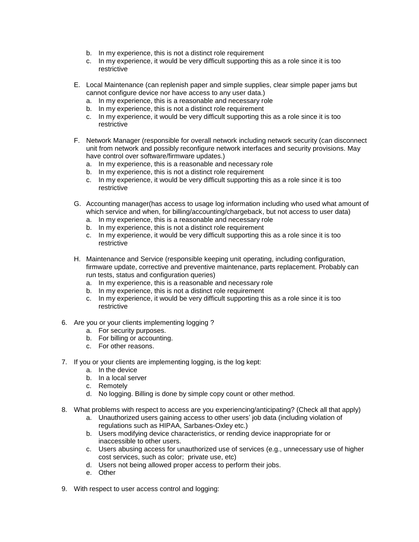- b. In my experience, this is not a distinct role requirement
- c. In my experience, it would be very difficult supporting this as a role since it is too restrictive
- E. Local Maintenance (can replenish paper and simple supplies, clear simple paper jams but cannot configure device nor have access to any user data.)
	- a. In my experience, this is a reasonable and necessary role
	- b. In my experience, this is not a distinct role requirement
	- c. In my experience, it would be very difficult supporting this as a role since it is too restrictive
- F. Network Manager (responsible for overall network including network security (can disconnect unit from network and possibly reconfigure network interfaces and security provisions. May have control over software/firmware updates.)
	- a. In my experience, this is a reasonable and necessary role
	- b. In my experience, this is not a distinct role requirement
	- c. In my experience, it would be very difficult supporting this as a role since it is too restrictive
- G. Accounting manager(has access to usage log information including who used what amount of which service and when, for billing/accounting/chargeback, but not access to user data)
	- a. In my experience, this is a reasonable and necessary role
	- b. In my experience, this is not a distinct role requirement
	- c. In my experience, it would be very difficult supporting this as a role since it is too restrictive
- H. Maintenance and Service (responsible keeping unit operating, including configuration, firmware update, corrective and preventive maintenance, parts replacement. Probably can run tests, status and configuration queries)
	- a. In my experience, this is a reasonable and necessary role
	- b. In my experience, this is not a distinct role requirement
	- c. In my experience, it would be very difficult supporting this as a role since it is too restrictive
- 6. Are you or your clients implementing logging ?
	- a. For security purposes.
	- b. For billing or accounting.
	- c. For other reasons.
- 7. If you or your clients are implementing logging, is the log kept:
	- a. In the device
	- b. In a local server
	- c. Remotely
	- d. No logging. Billing is done by simple copy count or other method.
- 8. What problems with respect to access are you experiencing/anticipating? (Check all that apply)
	- a. Unauthorized users gaining access to other users' job data (including violation of regulations such as HIPAA, Sarbanes-Oxley etc.)
	- b. Users modifying device characteristics, or rending device inappropriate for or inaccessible to other users.
	- c. Users abusing access for unauthorized use of services (e.g., unnecessary use of higher cost services, such as color; private use, etc)
	- d. Users not being allowed proper access to perform their jobs.
	- e. Other
- 9. With respect to user access control and logging: